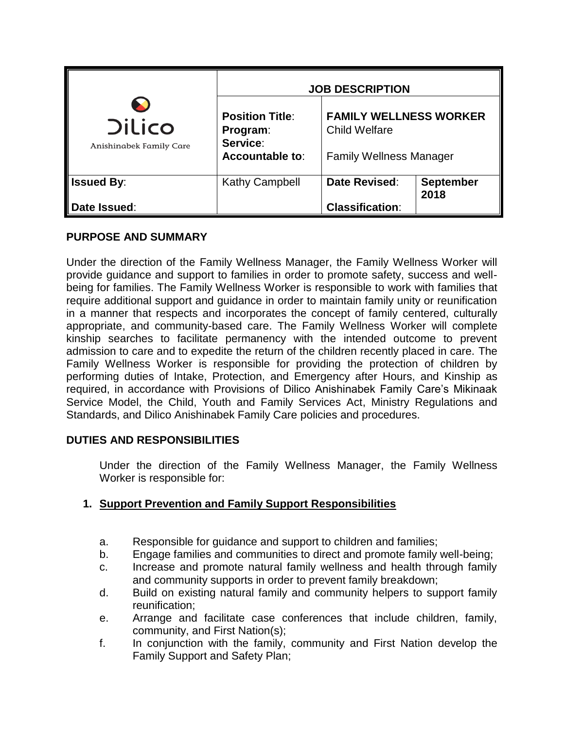|                                          | <b>JOB DESCRIPTION</b>                         |                                                       |                                |  |
|------------------------------------------|------------------------------------------------|-------------------------------------------------------|--------------------------------|--|
| <b>Dilico</b><br>Anishinabek Family Care | <b>Position Title:</b><br>Program:<br>Service: | <b>FAMILY WELLNESS WORKER</b><br><b>Child Welfare</b> |                                |  |
|                                          | <b>Accountable to:</b>                         |                                                       | <b>Family Wellness Manager</b> |  |
| <b>Issued By:</b>                        | <b>Kathy Campbell</b>                          | Date Revised:                                         | <b>September</b><br>2018       |  |
| Date Issued:                             |                                                | <b>Classification:</b>                                |                                |  |

## **PURPOSE AND SUMMARY**

Under the direction of the Family Wellness Manager, the Family Wellness Worker will provide guidance and support to families in order to promote safety, success and wellbeing for families. The Family Wellness Worker is responsible to work with families that require additional support and guidance in order to maintain family unity or reunification in a manner that respects and incorporates the concept of family centered, culturally appropriate, and community-based care. The Family Wellness Worker will complete kinship searches to facilitate permanency with the intended outcome to prevent admission to care and to expedite the return of the children recently placed in care. The Family Wellness Worker is responsible for providing the protection of children by performing duties of Intake, Protection, and Emergency after Hours, and Kinship as required, in accordance with Provisions of Dilico Anishinabek Family Care's Mikinaak Service Model, the Child, Youth and Family Services Act, Ministry Regulations and Standards, and Dilico Anishinabek Family Care policies and procedures.

## **DUTIES AND RESPONSIBILITIES**

Under the direction of the Family Wellness Manager, the Family Wellness Worker is responsible for:

## **1. Support Prevention and Family Support Responsibilities**

- a. Responsible for guidance and support to children and families;
- b. Engage families and communities to direct and promote family well-being;
- c. Increase and promote natural family wellness and health through family and community supports in order to prevent family breakdown;
- d. Build on existing natural family and community helpers to support family reunification;
- e. Arrange and facilitate case conferences that include children, family, community, and First Nation(s);
- f. In conjunction with the family, community and First Nation develop the Family Support and Safety Plan;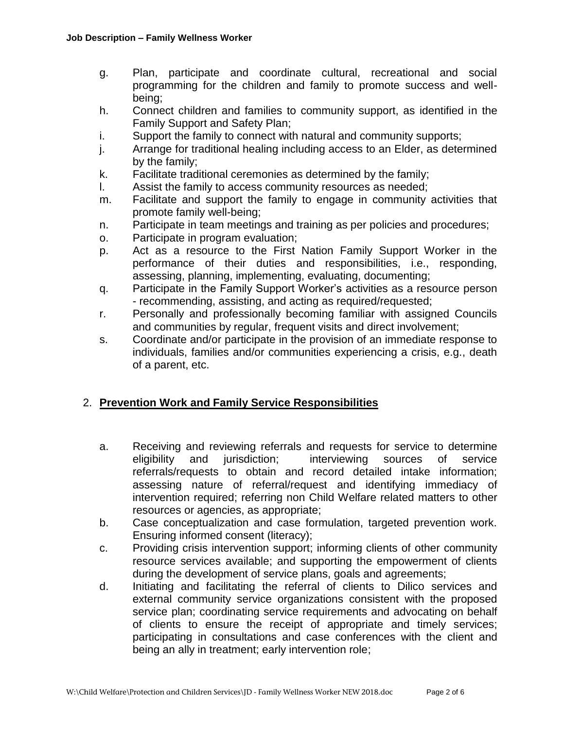- g. Plan, participate and coordinate cultural, recreational and social programming for the children and family to promote success and wellbeing;
- h. Connect children and families to community support, as identified in the Family Support and Safety Plan;
- i. Support the family to connect with natural and community supports;
- j. Arrange for traditional healing including access to an Elder, as determined by the family;
- k. Facilitate traditional ceremonies as determined by the family;
- l. Assist the family to access community resources as needed;
- m. Facilitate and support the family to engage in community activities that promote family well-being;
- n. Participate in team meetings and training as per policies and procedures;
- o. Participate in program evaluation;
- p. Act as a resource to the First Nation Family Support Worker in the performance of their duties and responsibilities, i.e., responding, assessing, planning, implementing, evaluating, documenting;
- q. Participate in the Family Support Worker's activities as a resource person - recommending, assisting, and acting as required/requested;
- r. Personally and professionally becoming familiar with assigned Councils and communities by regular, frequent visits and direct involvement;
- s. Coordinate and/or participate in the provision of an immediate response to individuals, families and/or communities experiencing a crisis, e.g., death of a parent, etc.

## 2. **Prevention Work and Family Service Responsibilities**

- a. Receiving and reviewing referrals and requests for service to determine eligibility and jurisdiction; interviewing sources of service referrals/requests to obtain and record detailed intake information; assessing nature of referral/request and identifying immediacy of intervention required; referring non Child Welfare related matters to other resources or agencies, as appropriate;
- b. Case conceptualization and case formulation, targeted prevention work. Ensuring informed consent (literacy);
- c. Providing crisis intervention support; informing clients of other community resource services available; and supporting the empowerment of clients during the development of service plans, goals and agreements;
- d. Initiating and facilitating the referral of clients to Dilico services and external community service organizations consistent with the proposed service plan; coordinating service requirements and advocating on behalf of clients to ensure the receipt of appropriate and timely services; participating in consultations and case conferences with the client and being an ally in treatment; early intervention role;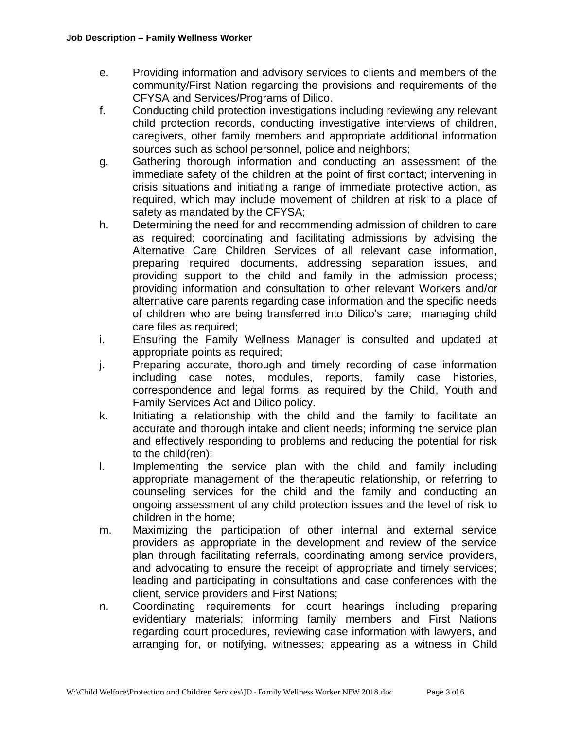- e. Providing information and advisory services to clients and members of the community/First Nation regarding the provisions and requirements of the CFYSA and Services/Programs of Dilico.
- f. Conducting child protection investigations including reviewing any relevant child protection records, conducting investigative interviews of children, caregivers, other family members and appropriate additional information sources such as school personnel, police and neighbors;
- g. Gathering thorough information and conducting an assessment of the immediate safety of the children at the point of first contact; intervening in crisis situations and initiating a range of immediate protective action, as required, which may include movement of children at risk to a place of safety as mandated by the CFYSA;
- h. Determining the need for and recommending admission of children to care as required; coordinating and facilitating admissions by advising the Alternative Care Children Services of all relevant case information, preparing required documents, addressing separation issues, and providing support to the child and family in the admission process; providing information and consultation to other relevant Workers and/or alternative care parents regarding case information and the specific needs of children who are being transferred into Dilico's care; managing child care files as required;
- i. Ensuring the Family Wellness Manager is consulted and updated at appropriate points as required;
- j. Preparing accurate, thorough and timely recording of case information including case notes, modules, reports, family case histories, correspondence and legal forms, as required by the Child, Youth and Family Services Act and Dilico policy.
- k. Initiating a relationship with the child and the family to facilitate an accurate and thorough intake and client needs; informing the service plan and effectively responding to problems and reducing the potential for risk to the child(ren);
- l. Implementing the service plan with the child and family including appropriate management of the therapeutic relationship, or referring to counseling services for the child and the family and conducting an ongoing assessment of any child protection issues and the level of risk to children in the home;
- m. Maximizing the participation of other internal and external service providers as appropriate in the development and review of the service plan through facilitating referrals, coordinating among service providers, and advocating to ensure the receipt of appropriate and timely services; leading and participating in consultations and case conferences with the client, service providers and First Nations;
- n. Coordinating requirements for court hearings including preparing evidentiary materials; informing family members and First Nations regarding court procedures, reviewing case information with lawyers, and arranging for, or notifying, witnesses; appearing as a witness in Child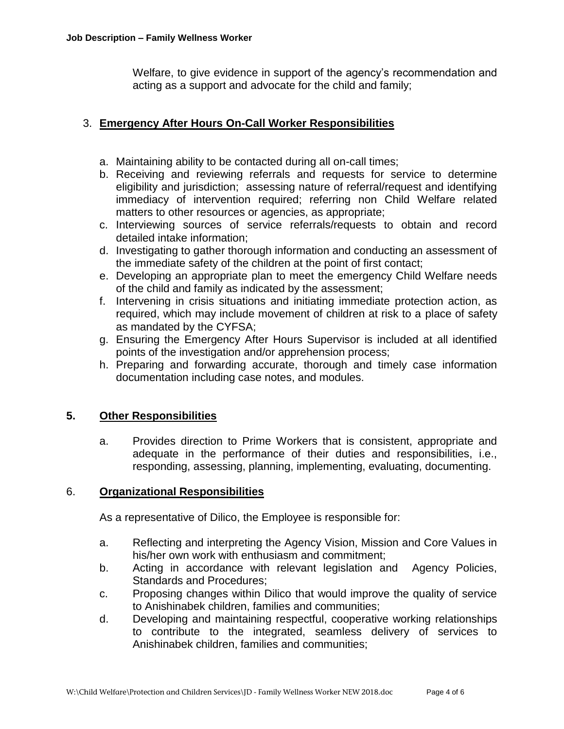Welfare, to give evidence in support of the agency's recommendation and acting as a support and advocate for the child and family;

# 3. **Emergency After Hours On-Call Worker Responsibilities**

- a. Maintaining ability to be contacted during all on-call times;
- b. Receiving and reviewing referrals and requests for service to determine eligibility and jurisdiction; assessing nature of referral/request and identifying immediacy of intervention required; referring non Child Welfare related matters to other resources or agencies, as appropriate;
- c. Interviewing sources of service referrals/requests to obtain and record detailed intake information;
- d. Investigating to gather thorough information and conducting an assessment of the immediate safety of the children at the point of first contact;
- e. Developing an appropriate plan to meet the emergency Child Welfare needs of the child and family as indicated by the assessment;
- f. Intervening in crisis situations and initiating immediate protection action, as required, which may include movement of children at risk to a place of safety as mandated by the CYFSA;
- g. Ensuring the Emergency After Hours Supervisor is included at all identified points of the investigation and/or apprehension process;
- h. Preparing and forwarding accurate, thorough and timely case information documentation including case notes, and modules.

## **5. Other Responsibilities**

a. Provides direction to Prime Workers that is consistent, appropriate and adequate in the performance of their duties and responsibilities, i.e., responding, assessing, planning, implementing, evaluating, documenting.

#### 6. **Organizational Responsibilities**

As a representative of Dilico, the Employee is responsible for:

- a. Reflecting and interpreting the Agency Vision, Mission and Core Values in his/her own work with enthusiasm and commitment;
- b. Acting in accordance with relevant legislation and Agency Policies, Standards and Procedures;
- c. Proposing changes within Dilico that would improve the quality of service to Anishinabek children, families and communities;
- d. Developing and maintaining respectful, cooperative working relationships to contribute to the integrated, seamless delivery of services to Anishinabek children, families and communities;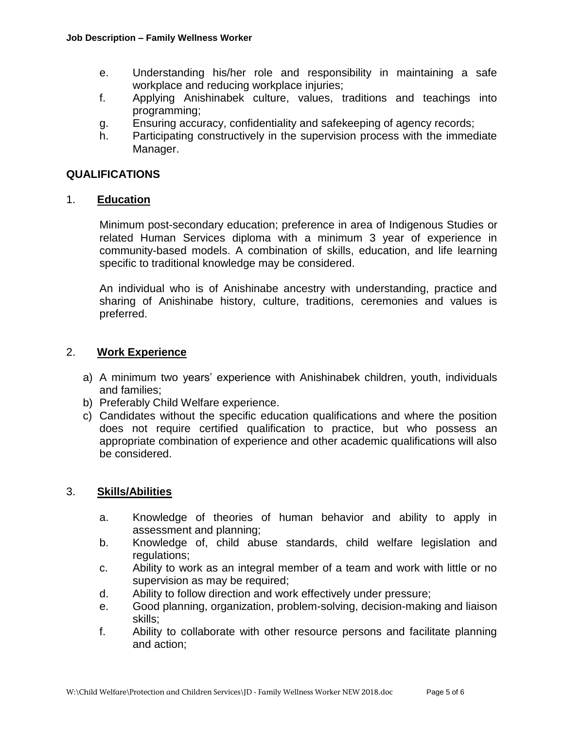- e. Understanding his/her role and responsibility in maintaining a safe workplace and reducing workplace injuries;
- f. Applying Anishinabek culture, values, traditions and teachings into programming;
- g. Ensuring accuracy, confidentiality and safekeeping of agency records;
- h. Participating constructively in the supervision process with the immediate Manager.

# **QUALIFICATIONS**

## 1. **Education**

Minimum post-secondary education; preference in area of Indigenous Studies or related Human Services diploma with a minimum 3 year of experience in community-based models. A combination of skills, education, and life learning specific to traditional knowledge may be considered.

An individual who is of Anishinabe ancestry with understanding, practice and sharing of Anishinabe history, culture, traditions, ceremonies and values is preferred.

## 2. **Work Experience**

- a) A minimum two years' experience with Anishinabek children, youth, individuals and families;
- b) Preferably Child Welfare experience.
- c) Candidates without the specific education qualifications and where the position does not require certified qualification to practice, but who possess an appropriate combination of experience and other academic qualifications will also be considered.

## 3. **Skills/Abilities**

- a. Knowledge of theories of human behavior and ability to apply in assessment and planning;
- b. Knowledge of, child abuse standards, child welfare legislation and regulations;
- c. Ability to work as an integral member of a team and work with little or no supervision as may be required;
- d. Ability to follow direction and work effectively under pressure;
- e. Good planning, organization, problem-solving, decision-making and liaison skills;
- f. Ability to collaborate with other resource persons and facilitate planning and action;